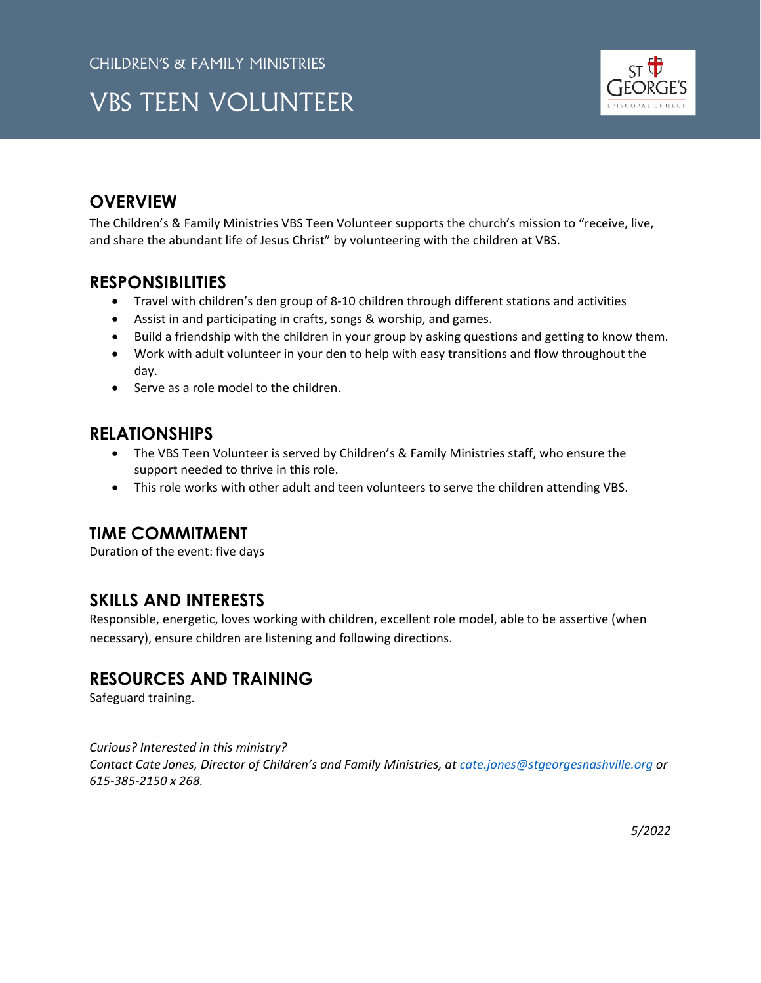## VBS TEEN VOLUNTEER



## **OVERVIEW**

The Children's & Family Ministries VBS Teen Volunteer supports the church's mission to "receive, live, and share the abundant life of Jesus Christ" by volunteering with the children at VBS.

### **RESPONSIBILITIES**

- Travel with children's den group of 8-10 children through different stations and activities
- Assist in and participating in crafts, songs & worship, and games.
- Build a friendship with the children in your group by asking questions and getting to know them.
- Work with adult volunteer in your den to help with easy transitions and flow throughout the day.
- Serve as a role model to the children.

## **RELATIONSHIPS**

- The VBS Teen Volunteer is served by Children's & Family Ministries staff, who ensure the support needed to thrive in this role.
- This role works with other adult and teen volunteers to serve the children attending VBS.

## **TIME COMMITMENT**

Duration of the event: five days

## **SKILLS AND INTERESTS**

Responsible, energetic, loves working with children, excellent role model, able to be assertive (when necessary), ensure children are listening and following directions.

## **RESOURCES AND TRAINING**

Safeguard training.

*Curious? Interested in this ministry? Contact Cate Jones, Director of Children's and Family Ministries, at [cate.jones@stgeorgesnashville.org](mailto:cate.jones@stgeorgesnashville.org) or 615-385-2150 x 268.*

*5/2022*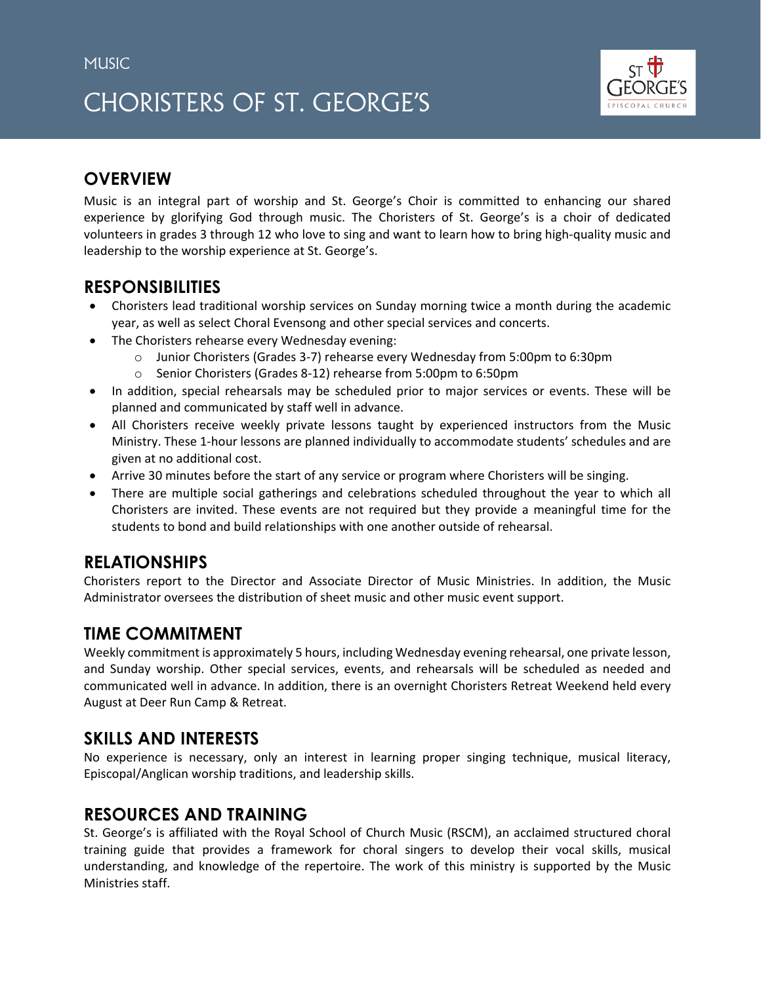## CHORISTERS OF ST. GEORGE'S



## **OVERVIEW**

Music is an integral part of worship and St. George's Choir is committed to enhancing our shared experience by glorifying God through music. The Choristers of St. George's is a choir of dedicated volunteers in grades 3 through 12 who love to sing and want to learn how to bring high-quality music and leadership to the worship experience at St. George's.

## **RESPONSIBILITIES**

- Choristers lead traditional worship services on Sunday morning twice a month during the academic year, as well as select Choral Evensong and other special services and concerts.
- The Choristers rehearse every Wednesday evening:
	- o Junior Choristers (Grades 3-7) rehearse every Wednesday from 5:00pm to 6:30pm
	- o Senior Choristers (Grades 8-12) rehearse from 5:00pm to 6:50pm
- In addition, special rehearsals may be scheduled prior to major services or events. These will be planned and communicated by staff well in advance.
- All Choristers receive weekly private lessons taught by experienced instructors from the Music Ministry. These 1-hour lessons are planned individually to accommodate students' schedules and are given at no additional cost.
- Arrive 30 minutes before the start of any service or program where Choristers will be singing.
- There are multiple social gatherings and celebrations scheduled throughout the year to which all Choristers are invited. These events are not required but they provide a meaningful time for the students to bond and build relationships with one another outside of rehearsal.

## **RELATIONSHIPS**

Choristers report to the Director and Associate Director of Music Ministries. In addition, the Music Administrator oversees the distribution of sheet music and other music event support.

## **TIME COMMITMENT**

Weekly commitment is approximately 5 hours, including Wednesday evening rehearsal, one private lesson, and Sunday worship. Other special services, events, and rehearsals will be scheduled as needed and communicated well in advance. In addition, there is an overnight Choristers Retreat Weekend held every August at Deer Run Camp & Retreat.

## **SKILLS AND INTERESTS**

No experience is necessary, only an interest in learning proper singing technique, musical literacy, Episcopal/Anglican worship traditions, and leadership skills.

## **RESOURCES AND TRAINING**

St. George's is affiliated with the Royal School of Church Music (RSCM), an acclaimed structured choral training guide that provides a framework for choral singers to develop their vocal skills, musical understanding, and knowledge of the repertoire. The work of this ministry is supported by the Music Ministries staff.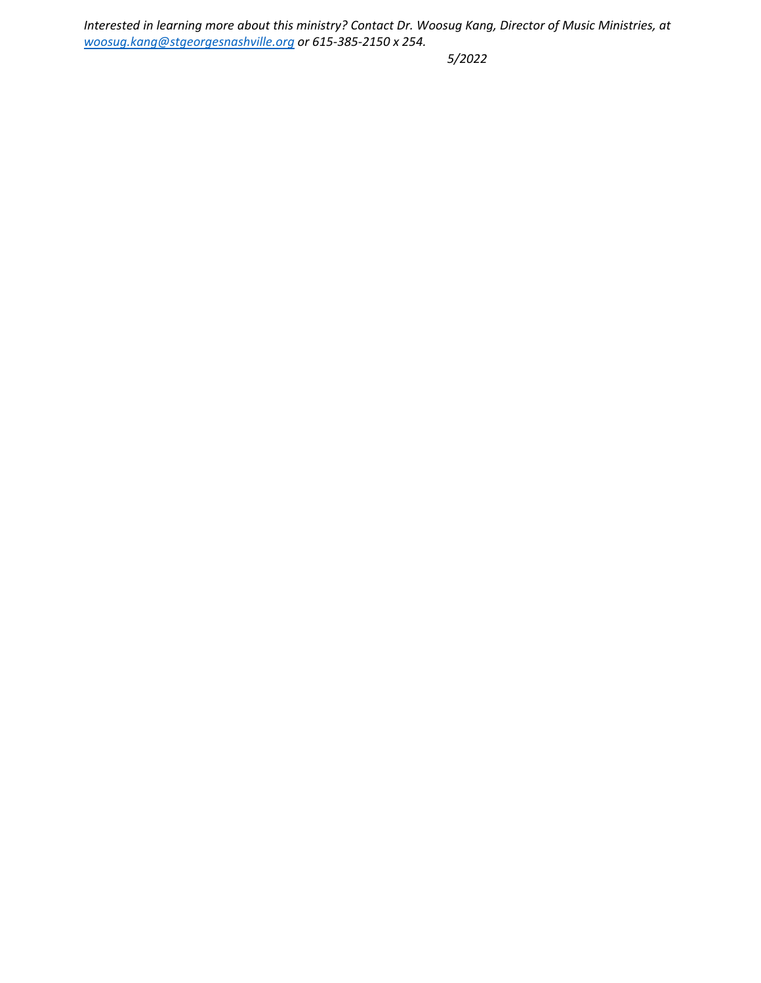*Interested in learning more about this ministry? Contact Dr. Woosug Kang, Director of Music Ministries, at [woosug.kang@stgeorgesnashville.org](mailto:woosug.kang@stgeorgesnashville.org) or 615-385-2150 x 254.* 

*5/2022*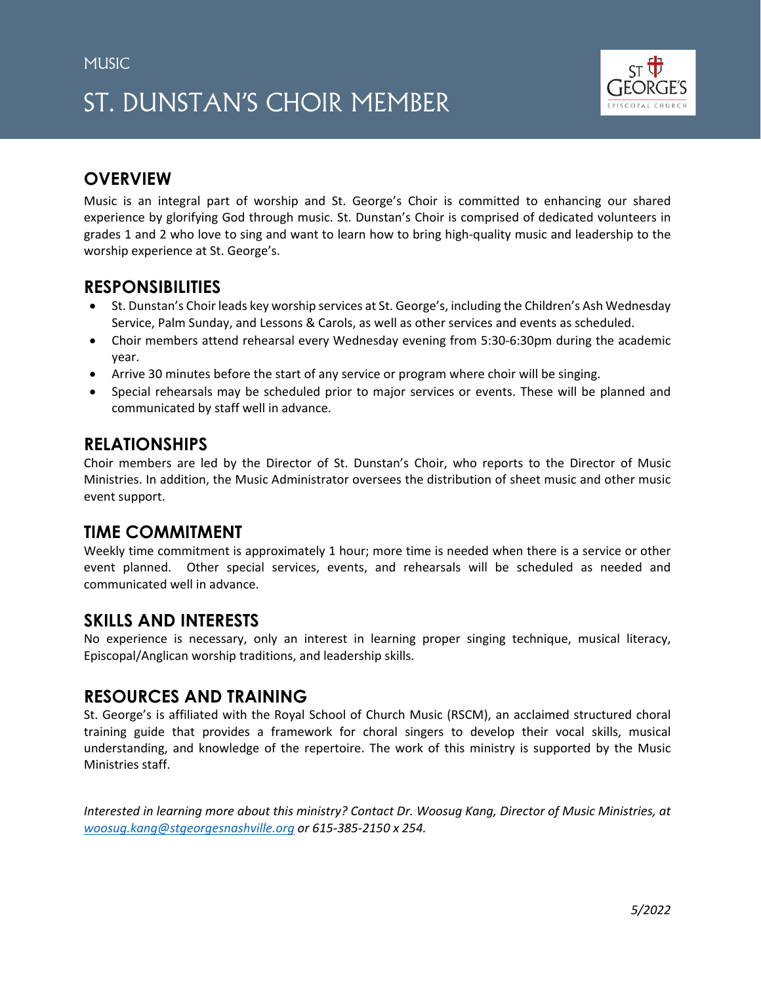# ST. DUNSTAN'S CHOIR MEMBER



## **OVERVIEW**

Music is an integral part of worship and St. George's Choir is committed to enhancing our shared experience by glorifying God through music. St. Dunstan's Choir is comprised of dedicated volunteers in grades 1 and 2 who love to sing and want to learn how to bring high-quality music and leadership to the worship experience at St. George's.

#### **RESPONSIBILITIES**

- St. Dunstan's Choir leads key worship services at St. George's, including the Children's Ash Wednesday Service, Palm Sunday, and Lessons & Carols, as well as other services and events as scheduled.
- Choir members attend rehearsal every Wednesday evening from 5:30-6:30pm during the academic year.
- Arrive 30 minutes before the start of any service or program where choir will be singing.
- Special rehearsals may be scheduled prior to major services or events. These will be planned and communicated by staff well in advance.

### **RELATIONSHIPS**

Choir members are led by the Director of St. Dunstan's Choir, who reports to the Director of Music Ministries. In addition, the Music Administrator oversees the distribution of sheet music and other music event support.

#### **TIME COMMITMENT**

Weekly time commitment is approximately 1 hour; more time is needed when there is a service or other event planned. Other special services, events, and rehearsals will be scheduled as needed and communicated well in advance.

## **SKILLS AND INTERESTS**

No experience is necessary, only an interest in learning proper singing technique, musical literacy, Episcopal/Anglican worship traditions, and leadership skills.

#### **RESOURCES AND TRAINING**

St. George's is affiliated with the Royal School of Church Music (RSCM), an acclaimed structured choral training guide that provides a framework for choral singers to develop their vocal skills, musical understanding, and knowledge of the repertoire. The work of this ministry is supported by the Music Ministries staff.

*Interested in learning more about this ministry? Contact Dr. Woosug Kang, Director of Music Ministries, at [woosug.kang@stgeorgesnashville.org](mailto:woosug.kang@stgeorgesnashville.org) or 615-385-2150 x 254.*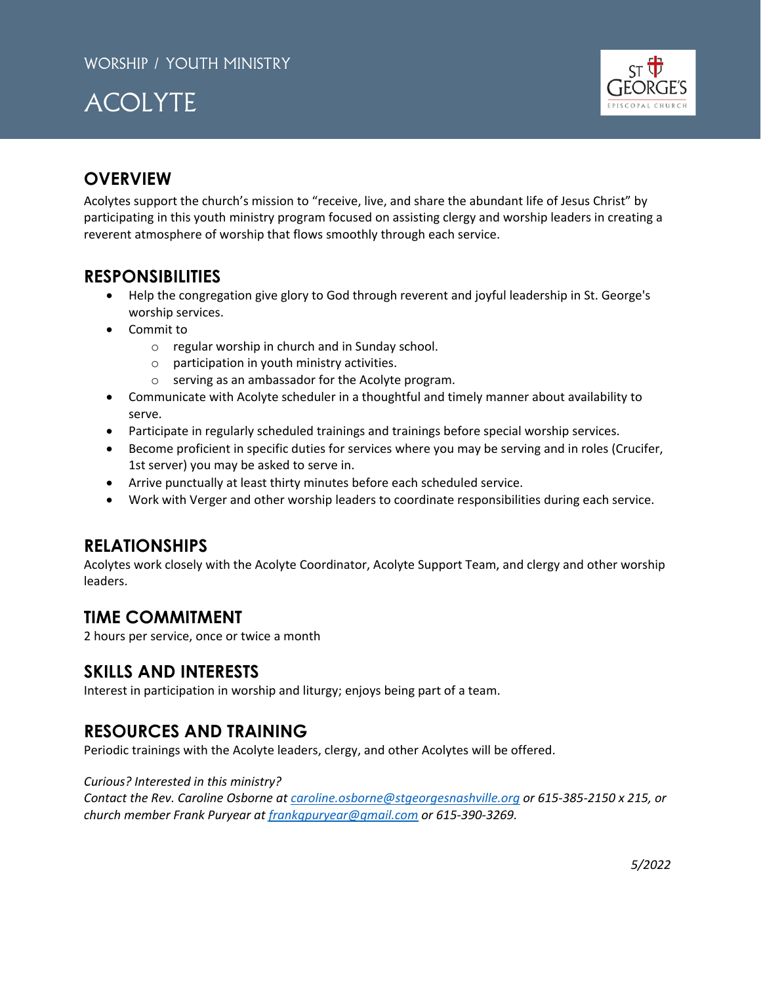



## **OVERVIEW**

Acolytes support the church's mission to "receive, live, and share the abundant life of Jesus Christ" by participating in this youth ministry program focused on assisting clergy and worship leaders in creating a reverent atmosphere of worship that flows smoothly through each service.

## **RESPONSIBILITIES**

- Help the congregation give glory to God through reverent and joyful leadership in St. George's worship services.
- Commit to
	- o regular worship in church and in Sunday school.
	- $\circ$  participation in youth ministry activities.
	- o serving as an ambassador for the Acolyte program.
- Communicate with Acolyte scheduler in a thoughtful and timely manner about availability to serve.
- Participate in regularly scheduled trainings and trainings before special worship services.
- Become proficient in specific duties for services where you may be serving and in roles (Crucifer, 1st server) you may be asked to serve in.
- Arrive punctually at least thirty minutes before each scheduled service.
- Work with Verger and other worship leaders to coordinate responsibilities during each service.

## **RELATIONSHIPS**

Acolytes work closely with the Acolyte Coordinator, Acolyte Support Team, and clergy and other worship leaders.

#### **TIME COMMITMENT**

2 hours per service, once or twice a month

#### **SKILLS AND INTERESTS**

Interest in participation in worship and liturgy; enjoys being part of a team.

## **RESOURCES AND TRAINING**

Periodic trainings with the Acolyte leaders, clergy, and other Acolytes will be offered.

*Curious? Interested in this ministry?* 

*Contact the Rev. Caroline Osborne at [caroline.osborne@stgeorgesnashville.org](mailto:caroline.osborne@stgeorgesnashville.org) or 615-385-2150 x 215, or church member Frank Puryear at [frankgpuryear@gmail.com](mailto:frankgpuryear@gmail.com) or 615-390-3269.*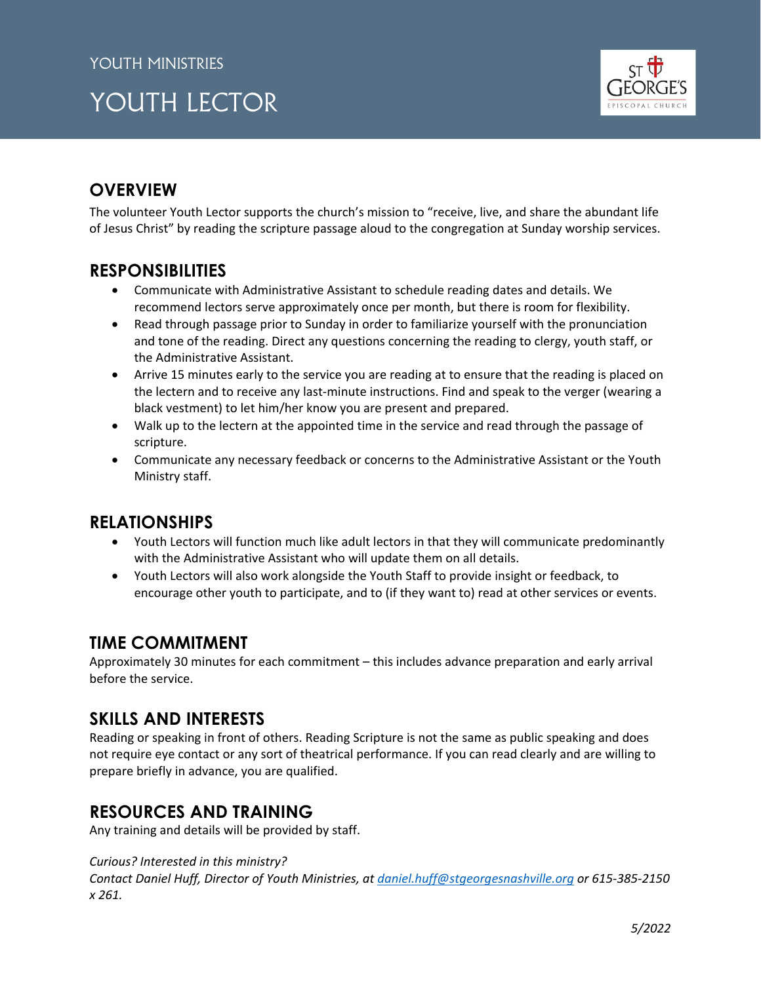# YOUTH LECTOR



## **OVERVIEW**

The volunteer Youth Lector supports the church's mission to "receive, live, and share the abundant life of Jesus Christ" by reading the scripture passage aloud to the congregation at Sunday worship services.

## **RESPONSIBILITIES**

- Communicate with Administrative Assistant to schedule reading dates and details. We recommend lectors serve approximately once per month, but there is room for flexibility.
- Read through passage prior to Sunday in order to familiarize yourself with the pronunciation and tone of the reading. Direct any questions concerning the reading to clergy, youth staff, or the Administrative Assistant.
- Arrive 15 minutes early to the service you are reading at to ensure that the reading is placed on the lectern and to receive any last-minute instructions. Find and speak to the verger (wearing a black vestment) to let him/her know you are present and prepared.
- Walk up to the lectern at the appointed time in the service and read through the passage of scripture.
- Communicate any necessary feedback or concerns to the Administrative Assistant or the Youth Ministry staff.

#### **RELATIONSHIPS**

- Youth Lectors will function much like adult lectors in that they will communicate predominantly with the Administrative Assistant who will update them on all details.
- Youth Lectors will also work alongside the Youth Staff to provide insight or feedback, to encourage other youth to participate, and to (if they want to) read at other services or events.

## **TIME COMMITMENT**

Approximately 30 minutes for each commitment – this includes advance preparation and early arrival before the service.

## **SKILLS AND INTERESTS**

Reading or speaking in front of others. Reading Scripture is not the same as public speaking and does not require eye contact or any sort of theatrical performance. If you can read clearly and are willing to prepare briefly in advance, you are qualified.

## **RESOURCES AND TRAINING**

Any training and details will be provided by staff.

#### *Curious? Interested in this ministry?*

*Contact Daniel Huff, Director of Youth Ministries, at [daniel.huff@stgeorgesnashville.org](mailto:daniel.huff@stgeorgesnashville.org) or 615-385-2150 x 261.*